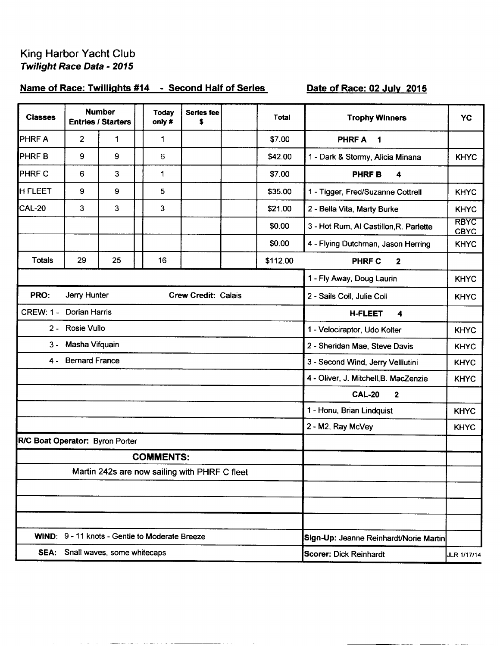## King Harbor Yacht Club<br>Twilight Race Data - 2015

## Name of Race: Twillights #14 - Second Half of Series

## Date of Race: 02 July 2015

| <b>Classes</b>                                 |                       | <b>Number</b><br><b>Entries / Starters</b> | <b>Today</b><br>only #                        | <b>Series fee</b><br>\$                      |             | Total    | <b>Trophy Winners</b>                    | YC                         |
|------------------------------------------------|-----------------------|--------------------------------------------|-----------------------------------------------|----------------------------------------------|-------------|----------|------------------------------------------|----------------------------|
| <b>PHRFA</b>                                   | 2                     | 1                                          | 1                                             |                                              |             | \$7.00   | <b>PHRFA</b><br>1                        |                            |
| <b>PHRFB</b>                                   | 9                     | 9                                          | 6                                             |                                              |             | \$42.00  | 1 - Dark & Stormy, Alicia Minana         | <b>KHYC</b>                |
| <b>PHRF C</b>                                  | 6                     | 3                                          | 1                                             |                                              |             | \$7.00   | <b>PHRFB</b><br>4                        |                            |
| <b>H FLEET</b>                                 | 9                     | 9                                          | 5                                             |                                              |             | \$35.00  | 1 - Tigger, Fred/Suzanne Cottrell        | <b>KHYC</b>                |
| CAL-20                                         | 3                     | 3                                          | 3                                             |                                              |             | \$21.00  | 2 - Bella Vita, Marty Burke              | <b>KHYC</b>                |
|                                                |                       |                                            |                                               |                                              |             | \$0.00   | 3 - Hot Rum, Al Castillon, R. Parlette   | <b>RBYC</b><br><b>CBYC</b> |
|                                                |                       |                                            |                                               |                                              |             | \$0.00   | 4 - Flying Dutchman, Jason Herring       | <b>KHYC</b>                |
| <b>Totals</b>                                  | 29                    | 25                                         | 16                                            |                                              |             | \$112.00 | <b>PHRF C</b><br>2                       |                            |
|                                                |                       |                                            |                                               | 1 - Fly Away, Doug Laurin<br><b>KHYC</b>     |             |          |                                          |                            |
| PRO:                                           | Jerry Hunter          |                                            | <b>Crew Credit: Calais</b>                    | 2 - Sails Coll, Julie Coll<br><b>KHYC</b>    |             |          |                                          |                            |
| <b>CREW: 1 -</b>                               | <b>Dorian Harris</b>  |                                            |                                               | <b>H-FLEET</b><br>$\blacktriangleleft$       |             |          |                                          |                            |
| $2 -$                                          | Rosie Vullo           |                                            |                                               | 1 - Velociraptor, Udo Kolter<br><b>KHYC</b>  |             |          |                                          |                            |
| $3 -$                                          | Masha Vifquain        |                                            |                                               | 2 - Sheridan Mae, Steve Davis<br><b>KHYC</b> |             |          |                                          |                            |
| 4 -                                            | <b>Bernard France</b> |                                            |                                               | 3 - Second Wind, Jerry Velllutini            | <b>KHYC</b> |          |                                          |                            |
|                                                |                       |                                            |                                               |                                              |             |          | 4 - Oliver, J. Mitchell, B. MacZenzie    | <b>KHYC</b>                |
|                                                |                       |                                            |                                               |                                              |             |          | <b>CAL-20</b><br>$\overline{\mathbf{2}}$ |                            |
|                                                |                       |                                            |                                               |                                              |             |          | 1 - Honu, Brian Lindquist                | <b>KHYC</b>                |
|                                                |                       |                                            |                                               |                                              |             |          | 2 - M2, Ray McVey                        | <b>KHYC</b>                |
| R/C Boat Operator: Byron Porter                |                       |                                            |                                               |                                              |             |          |                                          |                            |
|                                                |                       |                                            | <b>COMMENTS:</b>                              |                                              |             |          |                                          |                            |
|                                                |                       |                                            | Martin 242s are now sailing with PHRF C fleet |                                              |             |          |                                          |                            |
|                                                |                       |                                            |                                               |                                              |             |          |                                          |                            |
|                                                |                       |                                            |                                               |                                              |             |          |                                          |                            |
|                                                |                       |                                            |                                               |                                              |             |          |                                          |                            |
| WIND: 9 - 11 knots - Gentle to Moderate Breeze |                       |                                            |                                               |                                              |             |          | Sign-Up: Jeanne Reinhardt/Norie Martin   |                            |
| SEA: Snall waves, some whitecaps               |                       |                                            |                                               |                                              |             |          | Scorer: Dick Reinhardt                   | JLR 1/17/14                |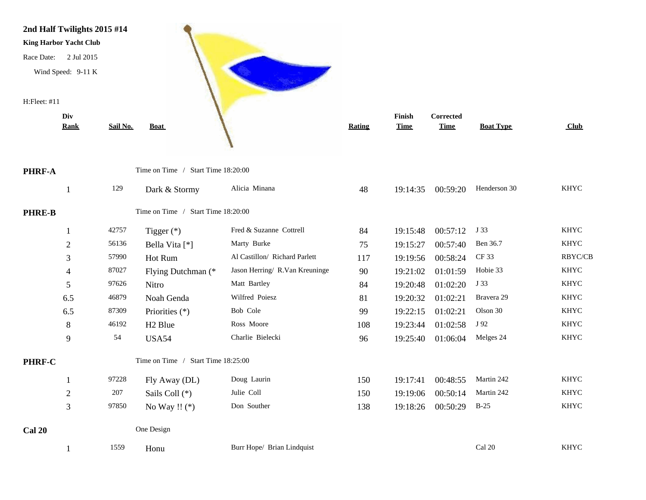

PHRF-A

PHRE-B

**PHRF-C** 

**Cal 20** 

| <u>Rank</u>    | Sail No. | <b>Boat</b>                        |                                | <b>Rating</b> | <b>Time</b> | <b>Time</b> | <b>Boat Type</b> | Club        |  |
|----------------|----------|------------------------------------|--------------------------------|---------------|-------------|-------------|------------------|-------------|--|
|                |          | Time on Time / Start Time 18:20:00 |                                |               |             |             |                  |             |  |
| 1              | 129      | Dark & Stormy                      | Alicia Minana                  | 48            | 19:14:35    | 00:59:20    | Henderson 30     | <b>KHYC</b> |  |
|                |          | Time on Time / Start Time 18:20:00 |                                |               |             |             |                  |             |  |
| $\mathbf{1}$   | 42757    | Tigger $(*)$                       | Fred & Suzanne Cottrell        | 84            | 19:15:48    | 00:57:12    | J 33             | <b>KHYC</b> |  |
| $\overline{2}$ | 56136    | Bella Vita [*]                     | Marty Burke                    | 75            | 19:15:27    | 00:57:40    | Ben 36.7         | <b>KHYC</b> |  |
| $\mathfrak{Z}$ | 57990    | Hot Rum                            | Al Castillon/ Richard Parlett  | 117           | 19:19:56    | 00:58:24    | <b>CF33</b>      | RBYC/CB     |  |
| $\overline{4}$ | 87027    | Flying Dutchman (*                 | Jason Herring/ R.Van Kreuninge | 90            | 19:21:02    | 01:01:59    | Hobie 33         | <b>KHYC</b> |  |
| 5              | 97626    | Nitro                              | Matt Bartley                   | 84            | 19:20:48    | 01:02:20    | J 33             | <b>KHYC</b> |  |
| 6.5            | 46879    | Noah Genda                         | Wilfred Poiesz                 | 81            | 19:20:32    | 01:02:21    | Bravera 29       | <b>KHYC</b> |  |
| 6.5            | 87309    | Priorities (*)                     | Bob Cole                       | 99            | 19:22:15    | 01:02:21    | Olson 30         | <b>KHYC</b> |  |
| 8              | 46192    | H <sub>2</sub> Blue                | Ross Moore                     | 108           | 19:23:44    | 01:02:58    | J 92             | <b>KHYC</b> |  |
| 9              | 54       | <b>USA54</b>                       | Charlie Bielecki               | 96            | 19:25:40    | 01:06:04    | Melges 24        | <b>KHYC</b> |  |
|                |          | Time on Time / Start Time 18:25:00 |                                |               |             |             |                  |             |  |
| $\mathbf{1}$   | 97228    | Fly Away (DL)                      | Doug Laurin                    | 150           | 19:17:41    | 00:48:55    | Martin 242       | <b>KHYC</b> |  |
| $\overline{c}$ | 207      | Sails Coll (*)                     | Julie Coll                     | 150           | 19:19:06    | 00:50:14    | Martin 242       | <b>KHYC</b> |  |
| 3              | 97850    | No Way !! $(*)$                    | Don Souther                    | 138           | 19:18:26    | 00:50:29    | $B-25$           | <b>KHYC</b> |  |
|                |          | One Design                         |                                |               |             |             |                  |             |  |
|                | 1559     | Honu                               | Burr Hope/ Brian Lindquist     |               |             |             | Cal 20           | <b>KHYC</b> |  |